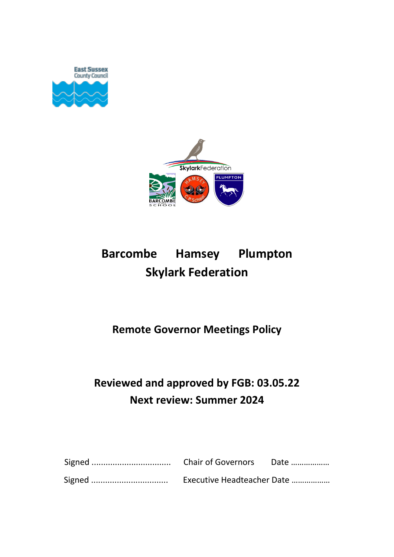



# **Barcombe Hamsey Plumpton Skylark Federation**

### **Remote Governor Meetings Policy**

## **Reviewed and approved by FGB: 03.05.22 Next review: Summer 2024**

| Executive Headteacher Date |  |
|----------------------------|--|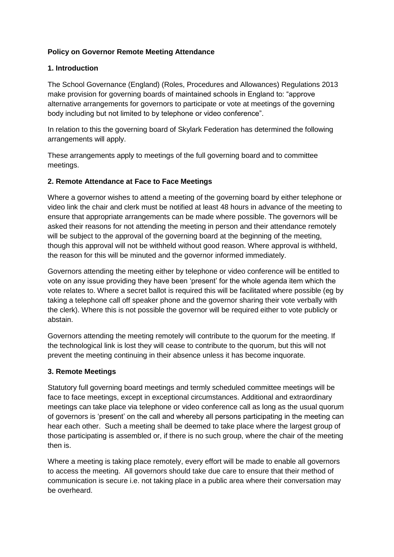#### **Policy on Governor Remote Meeting Attendance**

#### **1. Introduction**

The School Governance (England) (Roles, Procedures and Allowances) Regulations 2013 make provision for governing boards of maintained schools in England to: "approve alternative arrangements for governors to participate or vote at meetings of the governing body including but not limited to by telephone or video conference".

In relation to this the governing board of Skylark Federation has determined the following arrangements will apply.

These arrangements apply to meetings of the full governing board and to committee meetings.

#### **2. Remote Attendance at Face to Face Meetings**

Where a governor wishes to attend a meeting of the governing board by either telephone or video link the chair and clerk must be notified at least 48 hours in advance of the meeting to ensure that appropriate arrangements can be made where possible. The governors will be asked their reasons for not attending the meeting in person and their attendance remotely will be subject to the approval of the governing board at the beginning of the meeting, though this approval will not be withheld without good reason. Where approval is withheld, the reason for this will be minuted and the governor informed immediately.

Governors attending the meeting either by telephone or video conference will be entitled to vote on any issue providing they have been 'present' for the whole agenda item which the vote relates to. Where a secret ballot is required this will be facilitated where possible (eg by taking a telephone call off speaker phone and the governor sharing their vote verbally with the clerk). Where this is not possible the governor will be required either to vote publicly or abstain.

Governors attending the meeting remotely will contribute to the quorum for the meeting. If the technological link is lost they will cease to contribute to the quorum, but this will not prevent the meeting continuing in their absence unless it has become inquorate.

#### **3. Remote Meetings**

Statutory full governing board meetings and termly scheduled committee meetings will be face to face meetings, except in exceptional circumstances. Additional and extraordinary meetings can take place via telephone or video conference call as long as the usual quorum of governors is 'present' on the call and whereby all persons participating in the meeting can hear each other. Such a meeting shall be deemed to take place where the largest group of those participating is assembled or, if there is no such group, where the chair of the meeting then is.

Where a meeting is taking place remotely, every effort will be made to enable all governors to access the meeting. All governors should take due care to ensure that their method of communication is secure i.e. not taking place in a public area where their conversation may be overheard.